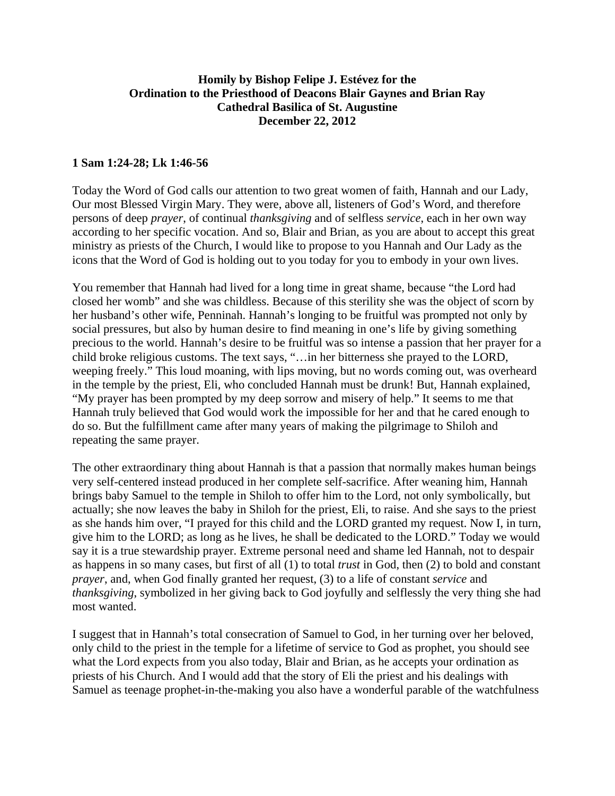## **Homily by Bishop Felipe J. Estévez for the Ordination to the Priesthood of Deacons Blair Gaynes and Brian Ray Cathedral Basilica of St. Augustine December 22, 2012**

## **1 Sam 1:24-28; Lk 1:46-56**

Today the Word of God calls our attention to two great women of faith, Hannah and our Lady, Our most Blessed Virgin Mary. They were, above all, listeners of God's Word, and therefore persons of deep *prayer*, of continual *thanksgiving* and of selfless *service*, each in her own way according to her specific vocation. And so, Blair and Brian, as you are about to accept this great ministry as priests of the Church, I would like to propose to you Hannah and Our Lady as the icons that the Word of God is holding out to you today for you to embody in your own lives.

You remember that Hannah had lived for a long time in great shame, because "the Lord had closed her womb" and she was childless. Because of this sterility she was the object of scorn by her husband's other wife, Penninah. Hannah's longing to be fruitful was prompted not only by social pressures, but also by human desire to find meaning in one's life by giving something precious to the world. Hannah's desire to be fruitful was so intense a passion that her prayer for a child broke religious customs. The text says, "…in her bitterness she prayed to the LORD, weeping freely." This loud moaning, with lips moving, but no words coming out, was overheard in the temple by the priest, Eli, who concluded Hannah must be drunk! But, Hannah explained, "My prayer has been prompted by my deep sorrow and misery of help." It seems to me that Hannah truly believed that God would work the impossible for her and that he cared enough to do so. But the fulfillment came after many years of making the pilgrimage to Shiloh and repeating the same prayer.

The other extraordinary thing about Hannah is that a passion that normally makes human beings very self-centered instead produced in her complete self-sacrifice. After weaning him, Hannah brings baby Samuel to the temple in Shiloh to offer him to the Lord, not only symbolically, but actually; she now leaves the baby in Shiloh for the priest, Eli, to raise. And she says to the priest as she hands him over, "I prayed for this child and the LORD granted my request. Now I, in turn, give him to the LORD; as long as he lives, he shall be dedicated to the LORD." Today we would say it is a true stewardship prayer. Extreme personal need and shame led Hannah, not to despair as happens in so many cases, but first of all (1) to total *trust* in God, then (2) to bold and constant *prayer*, and, when God finally granted her request, (3) to a life of constant *service* and *thanksgiving*, symbolized in her giving back to God joyfully and selflessly the very thing she had most wanted.

I suggest that in Hannah's total consecration of Samuel to God, in her turning over her beloved, only child to the priest in the temple for a lifetime of service to God as prophet, you should see what the Lord expects from you also today, Blair and Brian, as he accepts your ordination as priests of his Church. And I would add that the story of Eli the priest and his dealings with Samuel as teenage prophet-in-the-making you also have a wonderful parable of the watchfulness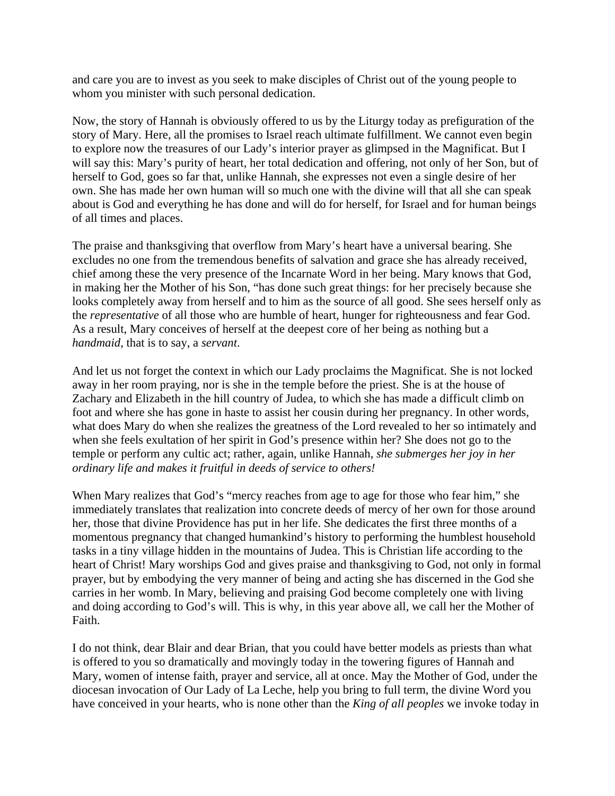and care you are to invest as you seek to make disciples of Christ out of the young people to whom you minister with such personal dedication.

Now, the story of Hannah is obviously offered to us by the Liturgy today as prefiguration of the story of Mary. Here, all the promises to Israel reach ultimate fulfillment. We cannot even begin to explore now the treasures of our Lady's interior prayer as glimpsed in the Magnificat. But I will say this: Mary's purity of heart, her total dedication and offering, not only of her Son, but of herself to God, goes so far that, unlike Hannah, she expresses not even a single desire of her own. She has made her own human will so much one with the divine will that all she can speak about is God and everything he has done and will do for herself, for Israel and for human beings of all times and places.

The praise and thanksgiving that overflow from Mary's heart have a universal bearing. She excludes no one from the tremendous benefits of salvation and grace she has already received, chief among these the very presence of the Incarnate Word in her being. Mary knows that God, in making her the Mother of his Son, "has done such great things: for her precisely because she looks completely away from herself and to him as the source of all good. She sees herself only as the *representative* of all those who are humble of heart, hunger for righteousness and fear God. As a result, Mary conceives of herself at the deepest core of her being as nothing but a *handmaid*, that is to say, a *servant*.

And let us not forget the context in which our Lady proclaims the Magnificat. She is not locked away in her room praying, nor is she in the temple before the priest. She is at the house of Zachary and Elizabeth in the hill country of Judea, to which she has made a difficult climb on foot and where she has gone in haste to assist her cousin during her pregnancy. In other words, what does Mary do when she realizes the greatness of the Lord revealed to her so intimately and when she feels exultation of her spirit in God's presence within her? She does not go to the temple or perform any cultic act; rather, again, unlike Hannah, *she submerges her joy in her ordinary life and makes it fruitful in deeds of service to others!* 

When Mary realizes that God's "mercy reaches from age to age for those who fear him," she immediately translates that realization into concrete deeds of mercy of her own for those around her, those that divine Providence has put in her life. She dedicates the first three months of a momentous pregnancy that changed humankind's history to performing the humblest household tasks in a tiny village hidden in the mountains of Judea. This is Christian life according to the heart of Christ! Mary worships God and gives praise and thanksgiving to God, not only in formal prayer, but by embodying the very manner of being and acting she has discerned in the God she carries in her womb. In Mary, believing and praising God become completely one with living and doing according to God's will. This is why, in this year above all, we call her the Mother of Faith.

I do not think, dear Blair and dear Brian, that you could have better models as priests than what is offered to you so dramatically and movingly today in the towering figures of Hannah and Mary, women of intense faith, prayer and service, all at once. May the Mother of God, under the diocesan invocation of Our Lady of La Leche, help you bring to full term, the divine Word you have conceived in your hearts, who is none other than the *King of all peoples* we invoke today in